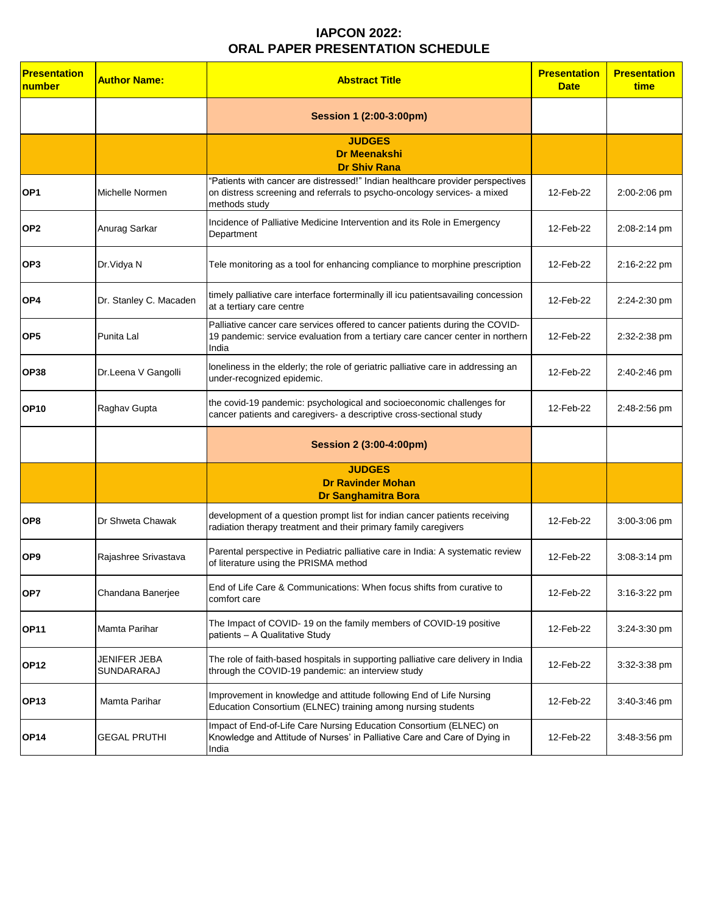## **IAPCON 2022: ORAL PAPER PRESENTATION SCHEDULE**

| <b>Presentation</b><br>number | <b>Author Name:</b>               | <b>Abstract Title</b>                                                                                                                                                       | <b>Presentation</b><br><b>Date</b> | <b>Presentation</b><br>time |
|-------------------------------|-----------------------------------|-----------------------------------------------------------------------------------------------------------------------------------------------------------------------------|------------------------------------|-----------------------------|
|                               |                                   | Session 1 (2:00-3:00pm)                                                                                                                                                     |                                    |                             |
|                               |                                   | <b>JUDGES</b><br><b>Dr Meenakshi</b><br><b>Dr Shiv Rana</b>                                                                                                                 |                                    |                             |
| OP <sub>1</sub>               | Michelle Normen                   | 'Patients with cancer are distressed!" Indian healthcare provider perspectives<br>on distress screening and referrals to psycho-oncology services- a mixed<br>methods study | 12-Feb-22                          | 2:00-2:06 pm                |
| OP <sub>2</sub>               | Anurag Sarkar                     | Incidence of Palliative Medicine Intervention and its Role in Emergency<br>Department                                                                                       | 12-Feb-22                          | 2:08-2:14 pm                |
| OP <sub>3</sub>               | Dr. Vidya N                       | Tele monitoring as a tool for enhancing compliance to morphine prescription                                                                                                 | 12-Feb-22                          | 2:16-2:22 pm                |
| OP4                           | Dr. Stanley C. Macaden            | timely palliative care interface forterminally ill icu patientsavailing concession<br>at a tertiary care centre                                                             | 12-Feb-22                          | 2:24-2:30 pm                |
| OP <sub>5</sub>               | Punita Lal                        | Palliative cancer care services offered to cancer patients during the COVID-<br>19 pandemic: service evaluation from a tertiary care cancer center in northern<br>India     | 12-Feb-22                          | 2:32-2:38 pm                |
| <b>OP38</b>                   | Dr.Leena V Gangolli               | loneliness in the elderly; the role of geriatric palliative care in addressing an<br>under-recognized epidemic.                                                             | 12-Feb-22                          | 2:40-2:46 pm                |
| <b>OP10</b>                   | Raghav Gupta                      | the covid-19 pandemic: psychological and socioeconomic challenges for<br>cancer patients and caregivers- a descriptive cross-sectional study                                | 12-Feb-22                          | 2:48-2:56 pm                |
|                               |                                   | <b>Session 2 (3:00-4:00pm)</b>                                                                                                                                              |                                    |                             |
|                               |                                   | <b>JUDGES</b><br><b>Dr Ravinder Mohan</b><br><b>Dr Sanghamitra Bora</b>                                                                                                     |                                    |                             |
| OP <sub>8</sub>               | Dr Shweta Chawak                  | development of a question prompt list for indian cancer patients receiving<br>radiation therapy treatment and their primary family caregivers                               | 12-Feb-22                          | 3:00-3:06 pm                |
| OP <sub>9</sub>               | Rajashree Srivastava              | Parental perspective in Pediatric palliative care in India: A systematic review<br>of literature using the PRISMA method                                                    | 12-Feb-22                          | 3:08-3:14 pm                |
| OP7                           | Chandana Banerjee                 | End of Life Care & Communications: When focus shifts from curative to<br>comfort care                                                                                       | 12-Feb-22                          | 3:16-3:22 pm                |
| <b>OP11</b>                   | Mamta Parihar                     | The Impact of COVID-19 on the family members of COVID-19 positive<br>patients - A Qualitative Study                                                                         | 12-Feb-22                          | 3:24-3:30 pm                |
| <b>OP12</b>                   | <b>JENIFER JEBA</b><br>SUNDARARAJ | The role of faith-based hospitals in supporting palliative care delivery in India<br>through the COVID-19 pandemic: an interview study                                      | 12-Feb-22                          | 3:32-3:38 pm                |
| <b>OP13</b>                   | Mamta Parihar                     | Improvement in knowledge and attitude following End of Life Nursing<br>Education Consortium (ELNEC) training among nursing students                                         | 12-Feb-22                          | 3:40-3:46 pm                |
| <b>OP14</b>                   | <b>GEGAL PRUTHI</b>               | Impact of End-of-Life Care Nursing Education Consortium (ELNEC) on<br>Knowledge and Attitude of Nurses' in Palliative Care and Care of Dying in<br>India                    | 12-Feb-22                          | 3:48-3:56 pm                |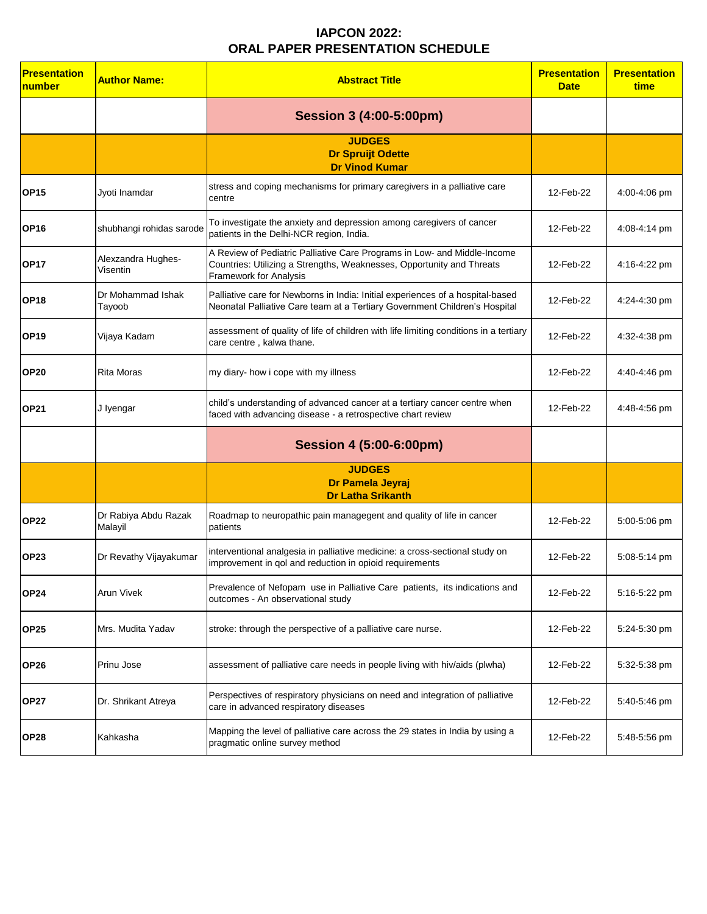## **IAPCON 2022: ORAL PAPER PRESENTATION SCHEDULE**

| <b>Presentation</b><br>number | <b>Author Name:</b>             | <b>Abstract Title</b>                                                                                                                                                              | <b>Presentation</b><br><b>Date</b> | <b>Presentation</b><br>time |
|-------------------------------|---------------------------------|------------------------------------------------------------------------------------------------------------------------------------------------------------------------------------|------------------------------------|-----------------------------|
|                               |                                 | <b>Session 3 (4:00-5:00pm)</b>                                                                                                                                                     |                                    |                             |
|                               |                                 | <b>JUDGES</b><br><b>Dr Spruijt Odette</b><br><b>Dr Vinod Kumar</b>                                                                                                                 |                                    |                             |
| <b>OP15</b>                   | Jyoti Inamdar                   | stress and coping mechanisms for primary caregivers in a palliative care<br>centre                                                                                                 | 12-Feb-22                          | 4:00-4:06 pm                |
| <b>OP16</b>                   | shubhangi rohidas sarode        | To investigate the anxiety and depression among caregivers of cancer<br>patients in the Delhi-NCR region, India.                                                                   | 12-Feb-22                          | 4:08-4:14 pm                |
| <b>OP17</b>                   | Alexzandra Hughes-<br>Visentin  | A Review of Pediatric Palliative Care Programs in Low- and Middle-Income<br>Countries: Utilizing a Strengths, Weaknesses, Opportunity and Threats<br><b>Framework for Analysis</b> | 12-Feb-22                          | 4:16-4:22 pm                |
| <b>OP18</b>                   | Dr Mohammad Ishak<br>Tayoob     | Palliative care for Newborns in India: Initial experiences of a hospital-based<br>Neonatal Palliative Care team at a Tertiary Government Children's Hospital                       | 12-Feb-22                          | 4:24-4:30 pm                |
| <b>OP19</b>                   | Vijaya Kadam                    | assessment of quality of life of children with life limiting conditions in a tertiary<br>care centre, kalwa thane.                                                                 | 12-Feb-22                          | 4:32-4:38 pm                |
| <b>OP20</b>                   | <b>Rita Moras</b>               | my diary- how i cope with my illness                                                                                                                                               | 12-Feb-22                          | 4:40-4:46 pm                |
| <b>OP21</b>                   | J lyengar                       | child's understanding of advanced cancer at a tertiary cancer centre when<br>faced with advancing disease - a retrospective chart review                                           | 12-Feb-22                          | 4:48-4:56 pm                |
|                               |                                 | Session 4 (5:00-6:00pm)                                                                                                                                                            |                                    |                             |
|                               |                                 | <b>JUDGES</b><br>Dr Pamela Jeyraj<br><b>Dr Latha Srikanth</b>                                                                                                                      |                                    |                             |
| <b>OP22</b>                   | Dr Rabiya Abdu Razak<br>Malayil | Roadmap to neuropathic pain managegent and quality of life in cancer<br>patients                                                                                                   | 12-Feb-22                          | 5:00-5:06 pm                |
| <b>OP23</b>                   | Dr Revathy Vijayakumar          | interventional analgesia in palliative medicine: a cross-sectional study on<br>improvement in gol and reduction in opioid requirements                                             | 12-Feb-22                          | 5:08-5:14 pm                |
| <b>OP24</b>                   | <b>Arun Vivek</b>               | Prevalence of Nefopam use in Palliative Care patients, its indications and<br>outcomes - An observational study                                                                    | 12-Feb-22                          | 5:16-5:22 pm                |
| <b>OP25</b>                   | Mrs. Mudita Yadav               | stroke: through the perspective of a palliative care nurse.                                                                                                                        | 12-Feb-22                          | 5:24-5:30 pm                |
| <b>OP26</b>                   | Prinu Jose                      | assessment of palliative care needs in people living with hiv/aids (plwha)                                                                                                         | 12-Feb-22                          | 5:32-5:38 pm                |
| <b>OP27</b>                   | Dr. Shrikant Atreya             | Perspectives of respiratory physicians on need and integration of palliative<br>care in advanced respiratory diseases                                                              | 12-Feb-22                          | 5:40-5:46 pm                |
| <b>OP28</b>                   | Kahkasha                        | Mapping the level of palliative care across the 29 states in India by using a<br>pragmatic online survey method                                                                    | 12-Feb-22                          | 5:48-5:56 pm                |